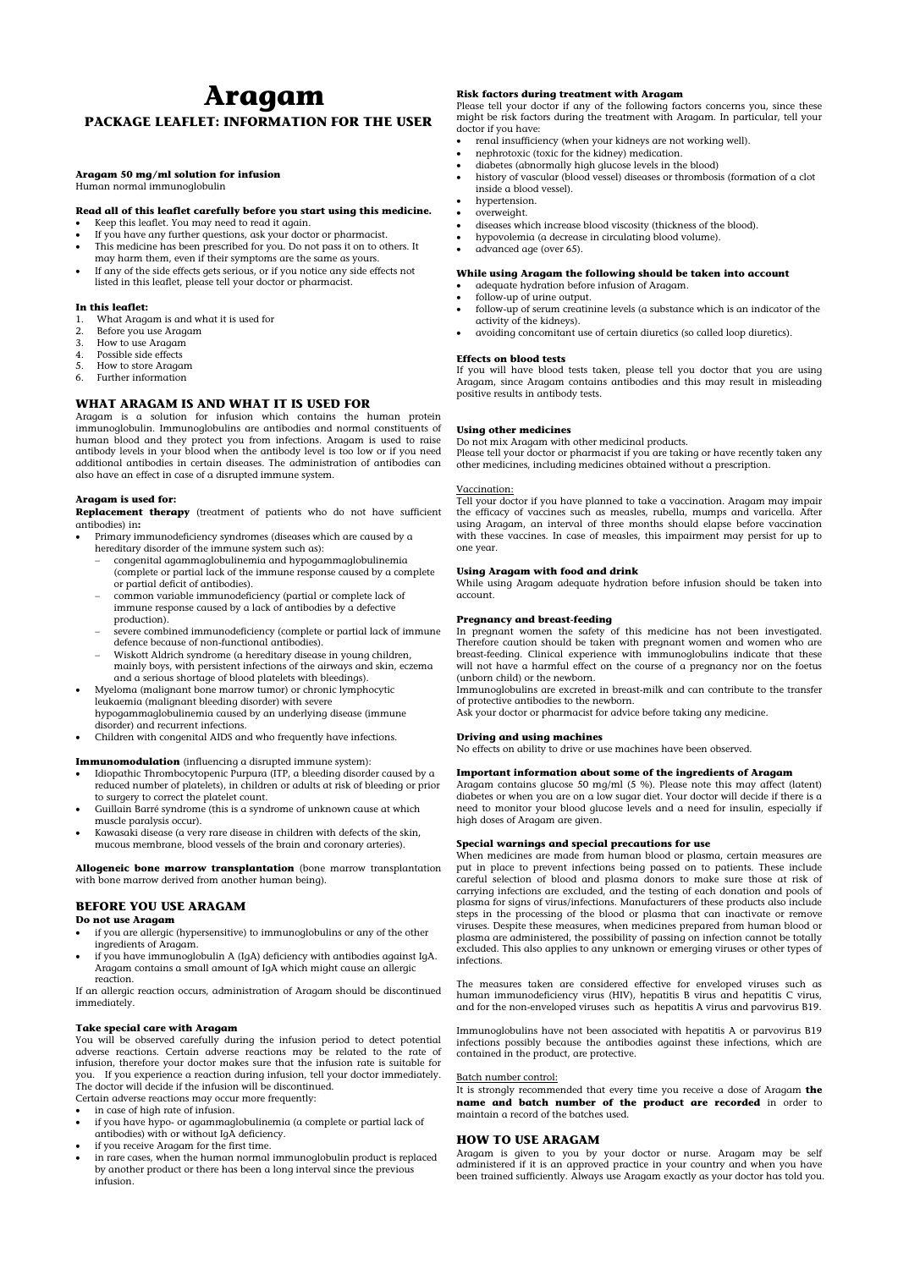# **Aragam PACKAGE LEAFLET: INFORMATION FOR THE USER**

#### **Aragam 50 mg/ml solution for infusion**

Human normal immunoglobulin

## **Read all of this leaflet carefully before you start using this medicine.**

- Keep this leaflet. You may need to read it again.
- If you have any further questions, ask your doctor or pharmacist.
- This medicine has been prescribed for you. Do not pass it on to others. It may harm them, even if their symptoms are the same as yours.
- If any of the side effects gets serious, or if you notice any side effects not listed in this leaflet, please tell your doctor or pharmacist.

#### **In this leaflet:**

- 1. What Aragam is and what it is used for
- 2. Before you use Aragam
- 3. How to use Aragam
- 4. Possible side effects
- 5. How to store Aragam
- 6. Further information

# **WHAT ARAGAM IS AND WHAT IT IS USED FOR**

Aragam is a solution for infusion which contains the human protein immunoglobulin. Immunoglobulins are antibodies and normal constituents of human blood and they protect you from infections. Aragam is used to raise antibody levels in your blood when the antibody level is too low or if you need additional antibodies in certain diseases. The administration of antibodies can also have an effect in case of a disrupted immune system.

## **Aragam is used for:**

**Replacement therapy** (treatment of patients who do not have sufficient antibodies) in**:**

- if you are allergic (hypersensitive) to immunoglobulins or any of the other ingredients of Aragam.
	- if you have immunoglobulin A  $(I_0A)$  deficiency with antibodies against  $I_0A$
- Primary immunodeficiency syndromes (diseases which are caused by a hereditary disorder of the immune system such as):
	- congenital agammaglobulinemia and hypogammaglobulinemia (complete or partial lack of the immune response caused by a complete or partial deficit of antibodies).
	- common variable immunodeficiency (partial or complete lack of immune response caused by a lack of antibodies by a defective production).
	- severe combined immunodeficiency (complete or partial lack of immune defence because of non-functional antibodies).
	- Wiskott Aldrich syndrome (a hereditary disease in young children, mainly boys, with persistent infections of the airways and skin, eczema and a serious shortage of blood platelets with bleedings).
- Myeloma (malignant bone marrow tumor) or chronic lymphocytic leukaemia (malignant bleeding disorder) with severe hypogammaglobulinemia caused by an underlying disease (immune disorder) and recurrent infections.
- Children with congenital AIDS and who frequently have infections.

#### **Immunomodulation** (influencing a disrupted immune system):

- Idiopathic Thrombocytopenic Purpura (ITP, a bleeding disorder caused by a reduced number of platelets), in children or adults at risk of bleeding or prior to surgery to correct the platelet count.
- Guillain Barré syndrome (this is a syndrome of unknown cause at which muscle paralysis occur).
- Kawasaki disease (a very rare disease in children with defects of the skin, mucous membrane, blood vessels of the brain and coronary arteries).

**Allogeneic bone marrow transplantation** (bone marrow transplantation with bone marrow derived from another human being).

# **BEFORE YOU USE ARAGAM**

#### **Do not use Aragam**

Aragam contains a small amount of IgA which might cause an allergic reaction.

If an allergic reaction occurs, administration of Aragam should be discontinued immediately.

#### **Take special care with Aragam**

You will be observed carefully during the infusion period to detect potential adverse reactions. Certain adverse reactions may be related to the rate of infusion, therefore your doctor makes sure that the infusion rate is suitable for you. If you experience a reaction during infusion, tell your doctor immediately. The doctor will decide if the infusion will be discontinued.

Certain adverse reactions may occur more frequently:

- in case of high rate of infusion.
- if you have hypo- or agammaglobulinemia (a complete or partial lack of antibodies) with or without IgA deficiency.
- if you receive Aragam for the first time.
- in rare cases, when the human normal immunoglobulin product is replaced by another product or there has been a long interval since the previous infusion.

## **Risk factors during treatment with Aragam**

Please tell your doctor if any of the following factors concerns you, since these might be risk factors during the treatment with Aragam. In particular, tell your doctor if you have:

- renal insufficiency (when your kidneys are not working well).
- nephrotoxic (toxic for the kidney) medication.
- diabetes (abnormally high glucose levels in the blood)
- history of vascular (blood vessel) diseases or thrombosis (formation of a [clot](http://en.wikipedia.org/wiki/Clot) inside [a blood vessel\)](http://en.wikipedia.org/wiki/Blood_vessel).
- hypertension.
- overweight.
- diseases which increase blood viscosity (thickness of the blood).
- hypovolemia (a decrease in circulating blood volume).
- advanced age (over 65).

#### **While using Aragam the following should be taken into account**

- adequate hydration before infusion of Aragam.
- follow-up of urine output.
- follow-up of serum creatinine levels (a substance which is an indicator of the activity of the kidneys).
- avoiding concomitant use of certain diuretics (so called loop diuretics).

#### **Effects on blood tests**

If you will have blood tests taken, please tell you doctor that you are using Aragam, since Aragam contains antibodies and this may result in misleading positive results in antibody tests.

#### **Using other medicines**

Do not mix Aragam with other medicinal products.

Please tell your doctor or pharmacist if you are taking or have recently taken any other medicines, including medicines obtained without a prescription.

## Vaccination:

Tell your doctor if you have planned to take a vaccination. Aragam may impair the efficacy of vaccines such as measles, rubella, mumps and varicella. After using Aragam, an interval of three months should elapse before vaccination with these vaccines. In case of measles, this impairment may persist for up to one year.

#### **Using Aragam with food and drink**

While using Aragam adequate hydration before infusion should be taken into account.

#### **Pregnancy and breast-feeding**

In pregnant women the safety of this medicine has not been investigated. Therefore caution should be taken with pregnant women and women who are breast-feeding. Clinical experience with immunoglobulins indicate that these will not have a harmful effect on the course of a pregnancy nor on the foetus (unborn child) or the newborn.

Immunoglobulins are excreted in breast-milk and can contribute to the transfer of protective antibodies to the newborn.

Ask your doctor or pharmacist for advice before taking any medicine.

## **Driving and using machines**

No effects on ability to drive or use machines have been observed.

#### **Important information about some of the ingredients of Aragam**

Aragam contains glucose 50 mg/ml (5 %). Please note this may affect (latent) diabetes or when you are on a low sugar diet. Your doctor will decide if there is a need to monitor your blood glucose levels and a need for insulin, especially if high doses of Aragam are given.

#### **Special warnings and special precautions for use**

When medicines are made from human blood or plasma, certain measures are put in place to prevent infections being passed on to patients. These include careful selection of blood and plasma donors to make sure those at risk of carrying infections are excluded, and the testing of each donation and pools of plasma for signs of virus/infections. Manufacturers of these products also include steps in the processing of the blood or plasma that can inactivate or remove viruses. Despite these measures, when medicines prepared from human blood or plasma are administered, the possibility of passing on infection cannot be totally excluded. This also applies to any unknown or emerging viruses or other types of

infections.

The measures taken are considered effective for enveloped viruses such as human immunodeficiency virus (HIV), hepatitis B virus and hepatitis C virus, and for the non-enveloped viruses such as hepatitis A virus and parvovirus B19.

Immunoglobulins have not been associated with hepatitis A or parvovirus B19 infections possibly because the antibodies against these infections, which are contained in the product, are protective.

#### Batch number control:

It is strongly recommended that every time you receive a dose of Aragam **the name and batch number of the product are recorded** in order to maintain a record of the batches used.

# **HOW TO USE ARAGAM**

Aragam is given to you by your doctor or nurse. Aragam may be self administered if it is an approved practice in your country and when you have been trained sufficiently. Always use Aragam exactly as your doctor has told you.